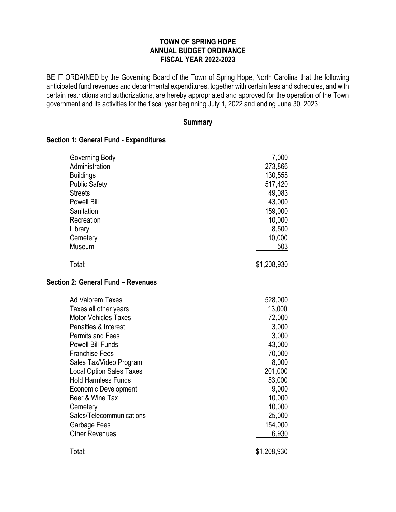### **TOWN OF SPRING HOPE ANNUAL BUDGET ORDINANCE FISCAL YEAR 2022-2023**

BE IT ORDAINED by the Governing Board of the Town of Spring Hope, North Carolina that the following anticipated fund revenues and departmental expenditures, together with certain fees and schedules, and with certain restrictions and authorizations, are hereby appropriated and approved for the operation of the Town government and its activities for the fiscal year beginning July 1, 2022 and ending June 30, 2023:

#### **Summary**

# **Section 1: General Fund - Expenditures**

| Governing Body       | 7,000       |
|----------------------|-------------|
| Administration       | 273,866     |
| <b>Buildings</b>     | 130,558     |
| <b>Public Safety</b> | 517,420     |
| <b>Streets</b>       | 49,083      |
| <b>Powell Bill</b>   | 43,000      |
| Sanitation           | 159,000     |
| Recreation           | 10,000      |
| Library              | 8,500       |
| Cemetery             | 10,000      |
| Museum               | 503         |
| Total:               | \$1,208,930 |

#### **Section 2: General Fund – Revenues**

| Ad Valorem Taxes                | 528,000     |
|---------------------------------|-------------|
| Taxes all other years           | 13,000      |
| <b>Motor Vehicles Taxes</b>     | 72,000      |
| Penalties & Interest            | 3,000       |
| Permits and Fees                | 3,000       |
| <b>Powell Bill Funds</b>        | 43,000      |
| <b>Franchise Fees</b>           | 70,000      |
| Sales Tax/Video Program         | 8,000       |
| <b>Local Option Sales Taxes</b> | 201,000     |
| <b>Hold Harmless Funds</b>      | 53,000      |
| <b>Economic Development</b>     | 9,000       |
| Beer & Wine Tax                 | 10,000      |
| Cemetery                        | 10,000      |
| Sales/Telecommunications        | 25,000      |
| Garbage Fees                    | 154,000     |
| <b>Other Revenues</b>           | 6,930       |
| Total:                          | \$1,208,930 |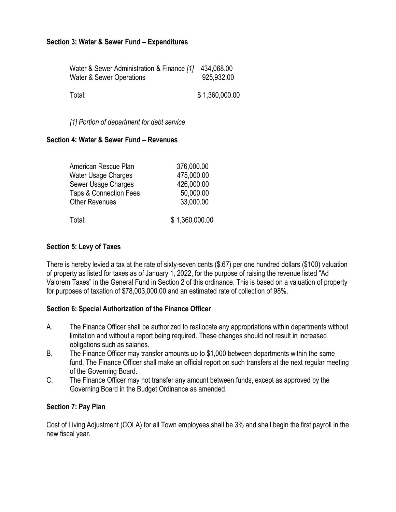# **Section 3: Water & Sewer Fund – Expenditures**

| Water & Sewer Administration & Finance [1] 434,068.00<br>Water & Sewer Operations | 925,932.00     |  |
|-----------------------------------------------------------------------------------|----------------|--|
| Total:                                                                            | \$1,360,000.00 |  |

*[1] Portion of department for debt service*

# **Section 4: Water & Sewer Fund – Revenues**

| American Rescue Plan              | 376,000.00     |  |
|-----------------------------------|----------------|--|
| Water Usage Charges               | 475,000.00     |  |
| Sewer Usage Charges               | 426,000.00     |  |
| <b>Taps &amp; Connection Fees</b> | 50,000.00      |  |
| <b>Other Revenues</b>             | 33,000.00      |  |
| Total:                            | \$1,360,000.00 |  |

### **Section 5: Levy of Taxes**

There is hereby levied a tax at the rate of sixty-seven cents (\$.67) per one hundred dollars (\$100) valuation of property as listed for taxes as of January 1, 2022, for the purpose of raising the revenue listed "Ad Valorem Taxes" in the General Fund in Section 2 of this ordinance. This is based on a valuation of property for purposes of taxation of \$78,003,000.00 and an estimated rate of collection of 98%.

# **Section 6: Special Authorization of the Finance Officer**

- A. The Finance Officer shall be authorized to reallocate any appropriations within departments without limitation and without a report being required. These changes should not result in increased obligations such as salaries.
- B. The Finance Officer may transfer amounts up to \$1,000 between departments within the same fund. The Finance Officer shall make an official report on such transfers at the next regular meeting of the Governing Board.
- C. The Finance Officer may not transfer any amount between funds, except as approved by the Governing Board in the Budget Ordinance as amended.

#### **Section 7: Pay Plan**

Cost of Living Adjustment (COLA) for all Town employees shall be 3% and shall begin the first payroll in the new fiscal year.